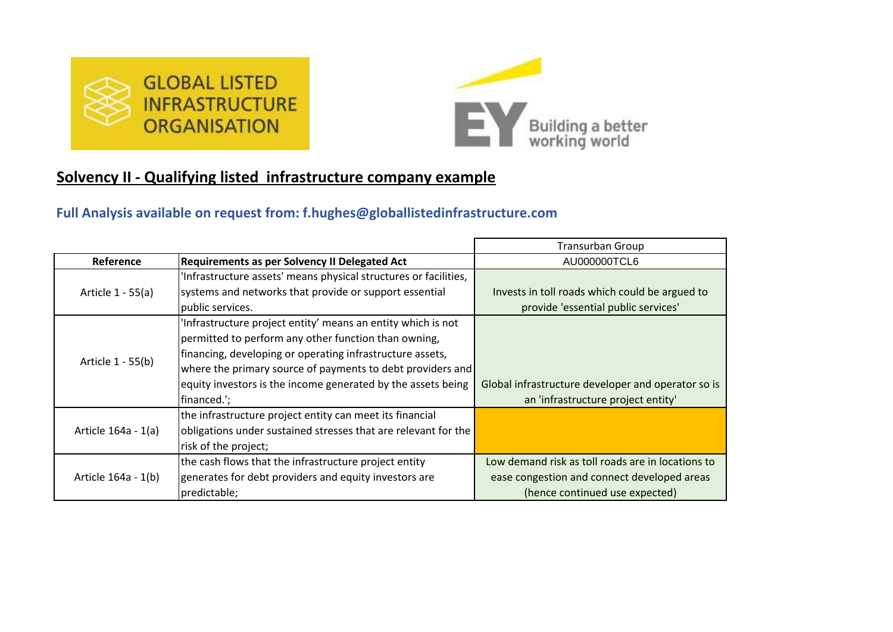



## **Solvency II - Qualifying listed infrastructure company example**

## **Full Analysis available on request from: f.hughes@globallistedinfrastructure.com**

|                     |                                                                  | <b>Transurban Group</b>                            |
|---------------------|------------------------------------------------------------------|----------------------------------------------------|
| Reference           | <b>Requirements as per Solvency II Delegated Act</b>             | AU000000TCL6                                       |
|                     | 'Infrastructure assets' means physical structures or facilities, |                                                    |
| Article 1 - 55(a)   | systems and networks that provide or support essential           | Invests in toll roads which could be argued to     |
|                     | public services.                                                 | provide 'essential public services'                |
|                     | 'Infrastructure project entity' means an entity which is not     |                                                    |
|                     | permitted to perform any other function than owning,             |                                                    |
|                     | financing, developing or operating infrastructure assets,        |                                                    |
| Article 1 - 55(b)   | where the primary source of payments to debt providers and       |                                                    |
|                     | equity investors is the income generated by the assets being     | Global infrastructure developer and operator so is |
|                     | financed.';                                                      | an 'infrastructure project entity'                 |
|                     | the infrastructure project entity can meet its financial         |                                                    |
| Article 164a - 1(a) | obligations under sustained stresses that are relevant for the   |                                                    |
|                     | risk of the project;                                             |                                                    |
|                     | the cash flows that the infrastructure project entity            | Low demand risk as toll roads are in locations to  |
| Article 164a - 1(b) | generates for debt providers and equity investors are            | ease congestion and connect developed areas        |
|                     | predictable;                                                     | (hence continued use expected)                     |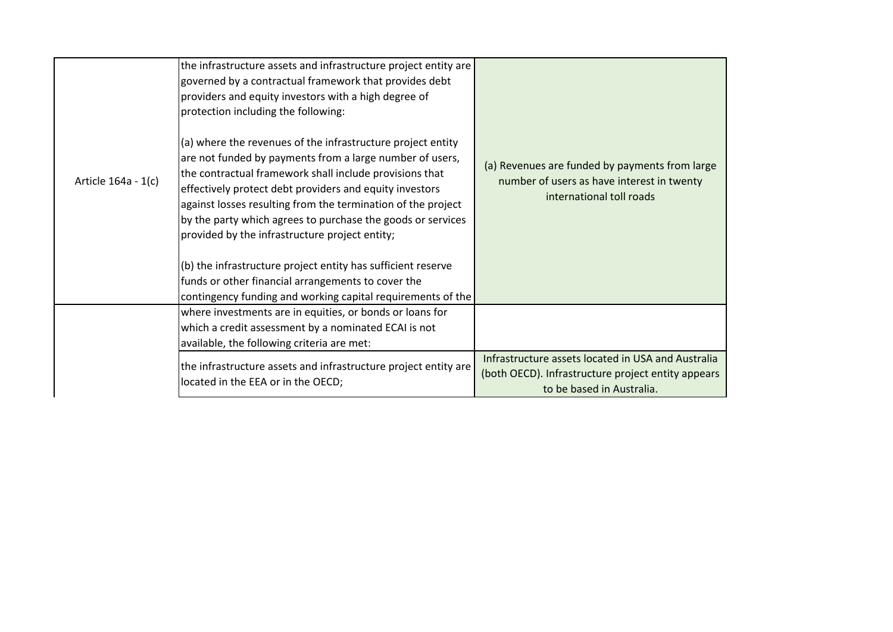| Article 164a - 1(c) | the infrastructure assets and infrastructure project entity are<br>governed by a contractual framework that provides debt<br>providers and equity investors with a high degree of<br>protection including the following:<br>(a) where the revenues of the infrastructure project entity<br>are not funded by payments from a large number of users,<br>the contractual framework shall include provisions that<br>effectively protect debt providers and equity investors<br>against losses resulting from the termination of the project<br>by the party which agrees to purchase the goods or services<br>provided by the infrastructure project entity;<br>(b) the infrastructure project entity has sufficient reserve<br>funds or other financial arrangements to cover the<br>contingency funding and working capital requirements of the | (a) Revenues are funded by payments from large<br>number of users as have interest in twenty<br>international toll roads              |
|---------------------|-------------------------------------------------------------------------------------------------------------------------------------------------------------------------------------------------------------------------------------------------------------------------------------------------------------------------------------------------------------------------------------------------------------------------------------------------------------------------------------------------------------------------------------------------------------------------------------------------------------------------------------------------------------------------------------------------------------------------------------------------------------------------------------------------------------------------------------------------|---------------------------------------------------------------------------------------------------------------------------------------|
|                     | where investments are in equities, or bonds or loans for<br>which a credit assessment by a nominated ECAI is not<br>available, the following criteria are met:                                                                                                                                                                                                                                                                                                                                                                                                                                                                                                                                                                                                                                                                                  |                                                                                                                                       |
|                     | the infrastructure assets and infrastructure project entity are<br>located in the EEA or in the OECD;                                                                                                                                                                                                                                                                                                                                                                                                                                                                                                                                                                                                                                                                                                                                           | Infrastructure assets located in USA and Australia<br>(both OECD). Infrastructure project entity appears<br>to be based in Australia. |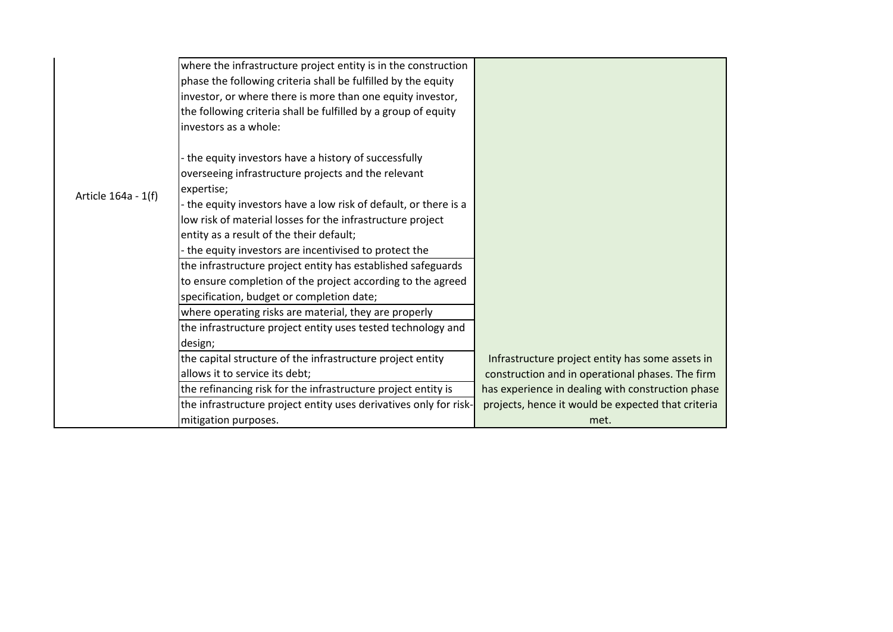|                     | where the infrastructure project entity is in the construction    |                                                    |
|---------------------|-------------------------------------------------------------------|----------------------------------------------------|
|                     | phase the following criteria shall be fulfilled by the equity     |                                                    |
|                     | investor, or where there is more than one equity investor,        |                                                    |
|                     | the following criteria shall be fulfilled by a group of equity    |                                                    |
|                     | investors as a whole:                                             |                                                    |
|                     | the equity investors have a history of successfully               |                                                    |
|                     | overseeing infrastructure projects and the relevant               |                                                    |
|                     | expertise;                                                        |                                                    |
| Article 164a - 1(f) | the equity investors have a low risk of default, or there is a    |                                                    |
|                     | low risk of material losses for the infrastructure project        |                                                    |
|                     | entity as a result of the their default;                          |                                                    |
|                     | the equity investors are incentivised to protect the              |                                                    |
|                     | the infrastructure project entity has established safeguards      |                                                    |
|                     | to ensure completion of the project according to the agreed       |                                                    |
|                     | specification, budget or completion date;                         |                                                    |
|                     | where operating risks are material, they are properly             |                                                    |
|                     | the infrastructure project entity uses tested technology and      |                                                    |
|                     | design;                                                           |                                                    |
|                     | the capital structure of the infrastructure project entity        | Infrastructure project entity has some assets in   |
|                     | allows it to service its debt;                                    | construction and in operational phases. The firm   |
|                     | the refinancing risk for the infrastructure project entity is     | has experience in dealing with construction phase  |
|                     | the infrastructure project entity uses derivatives only for risk- | projects, hence it would be expected that criteria |
|                     | mitigation purposes.                                              | met.                                               |